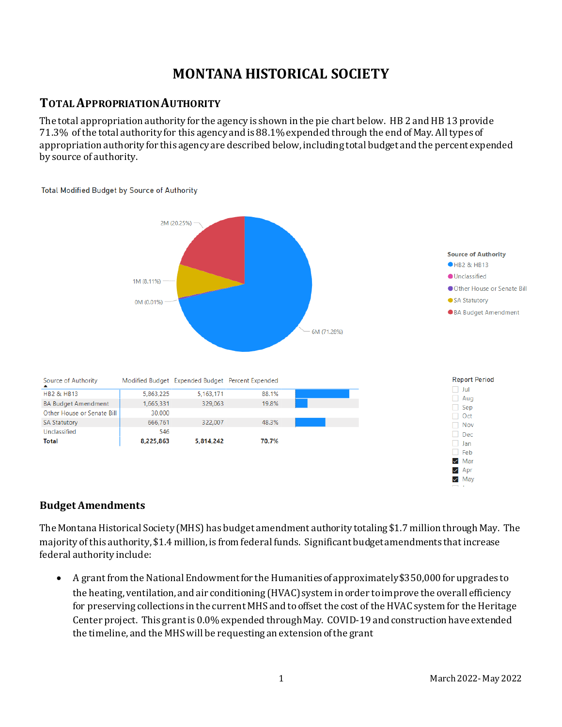# **MONTANA HISTORICAL SOCIETY**

### **TOTAL APPROPRIATION AUTHORITY**

The total appropriation authority for the agency is shown in the pie chart below. HB 2 and HB 13 provide 71.3% of the total authority for this agency and is 88.1% expended through the end of May. All types of appropriation authority for this agency are described below, including total budget and the percent expended by source of authority.



**Total Modified Budget by Source of Authority** 

### **Budget Amendments**

The Montana Historical Society (MHS) has budget amendment authority totaling \$1.7 million through May. The majority of this authority, \$1.4 million, is from federal funds. Significant budget amendments that increase federal authority include:

• A grant from the National Endowment for the Humanities of approximately \$350,000 for upgrades to the heating, ventilation, and air conditioning (HVAC) system in order to improve the overall efficiency for preserving collections in the current MHS and to offset the cost of the HVAC system for the Heritage Center project. This grant is 0.0% expended throughMay. COVID-19 and construction have extended the timeline, and the MHS will be requesting an extension of the grant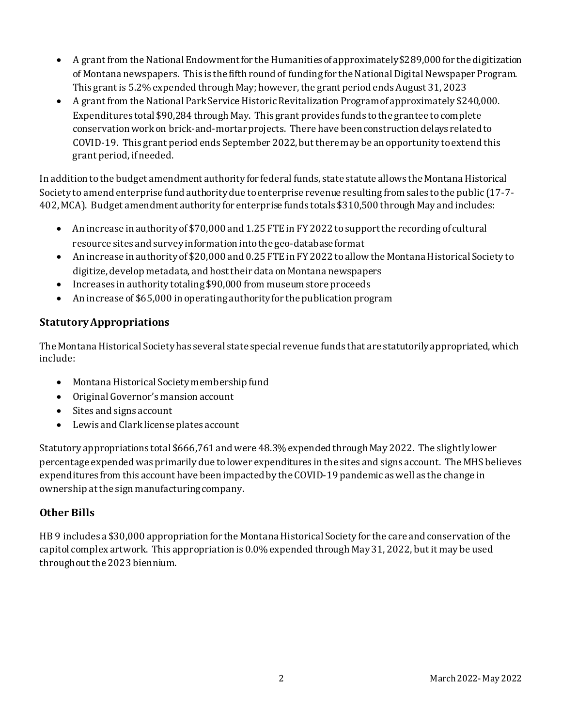- A grant from the National Endowment for the Humanities of approximately \$289,000 for the digitization of Montana newspapers. This is the fifth round of funding for the National Digital Newspaper Program. This grant is 5.2% expended through May; however, the grant period ends August 31, 2023
- A grant from the National Park Service Historic Revitalization Program of approximately \$240,000. Expenditures total \$90,284 through May. This grant provides funds to the grantee to complete conservation work on brick-and-mortarprojects. There have been construction delays related to COVID-19. This grant period ends September 2022, but there may be an opportunity to extend this grant period, if needed.

In addition to the budget amendment authority for federal funds, state statute allows the Montana Historical Society to amend enterprise fund authority due to enterprise revenue resulting from sales to the public (17-7- 402, MCA). Budget amendment authority for enterprise funds totals \$310,500 through May and includes:

- An increase in authority of \$70,000 and 1.25 FTE in FY 2022 to support the recording of cultural resource sites and survey information into the geo-database format
- An increase in authority of \$20,000 and 0.25 FTE in FY 2022 to allow the Montana Historical Society to digitize, develop metadata, and host their data on Montana newspapers
- Increases in authority totaling \$90,000 from museum store proceeds
- An increase of \$65,000 in operating authority for the publication program

### **Statutory Appropriations**

The Montana Historical Society has several state special revenue funds that are statutorily appropriated, which include:

- Montana Historical Society membership fund
- Original Governor's mansion account
- Sites and signs account
- Lewis and Clark license plates account

Statutory appropriations total \$666,761 and were 48.3% expended throughMay 2022. The slightly lower percentage expended was primarily due to lower expenditures in the sites and signs account. The MHS believes expenditures from this account have been impacted by the COVID-19 pandemic as well as the change in ownership at the sign manufacturing company.

### **Other Bills**

HB 9 includes a \$30,000 appropriation for the Montana Historical Society for the care and conservation of the capitol complex artwork. This appropriation is 0.0% expended through May 31, 2022, but it may be used throughout the 2023 biennium.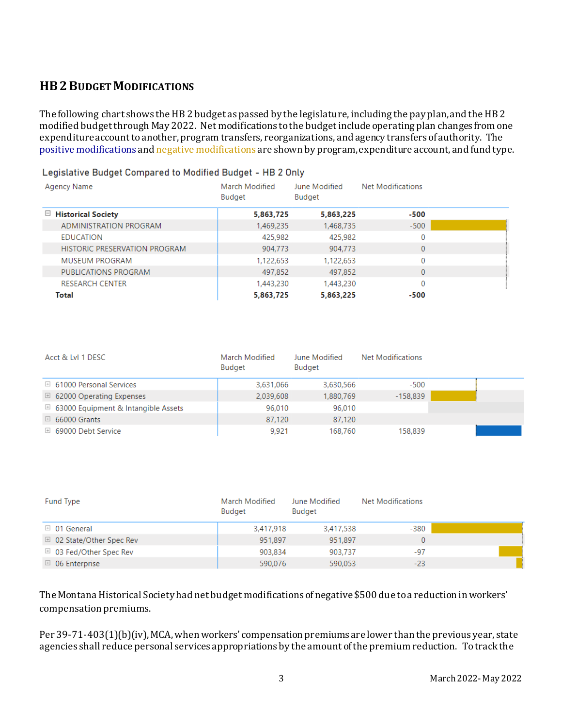# **HB2 BUDGET MODIFICATIONS**

The following chart shows the HB 2 budget as passed by the legislature, including the pay plan, and the HB 2 modified budgetthrough May 2022. Net modifications to the budget include operating plan changes from one expenditure account to another, program transfers, reorganizations, and agency transfers of authority. The positive modifications and negative modifications are shown by program, expenditure account, and fund type.

### **Agency Name** March Modified June Modified Net Modifications **Budget Budget** □ Historical Society 5.863.725 5.863.225  $-500$ **ADMINISTRATION PROGRAM**  $-500$ 1,469,235 1,468,735  $\overline{0}$ **EDUCATION** 425,982 425,982 HISTORIC PRESERVATION PROGRAM 904,773 904,773  $\overline{0}$ **MUSEUM PROGRAM** 1.122.653  $\Omega$ 1,122,653 PUBLICATIONS PROGRAM 497.852 497.852  $\overline{0}$ **RESEARCH CENTER** 1,443,230  $\overline{0}$ 1,443,230 5,863,225 **Total** 5,863,725  $-500$

### Legislative Budget Compared to Modified Budget - HB 2 Only

| Acct & LvI 1 DESC                              | March Modified<br>Budget | June Modified<br>Budget | <b>Net Modifications</b> |  |
|------------------------------------------------|--------------------------|-------------------------|--------------------------|--|
| $\boxplus$ 61000 Personal Services             | 3,631,066                | 3,630,566               | $-500$                   |  |
| $\boxplus$ 62000 Operating Expenses            | 2,039,608                | 1,880,769               | $-158,839$               |  |
| $\boxplus$ 63000 Equipment & Intangible Assets | 96,010                   | 96.010                  |                          |  |
| $\boxplus$ 66000 Grants                        | 87,120                   | 87,120                  |                          |  |
| $\boxplus$ 69000 Debt Service                  | 9.921                    | 168,760                 | 158,839                  |  |

| Fund Type                          | <b>March Modified</b><br><b>Budget</b> | June Modified<br><b>Budget</b> | Net Modifications |  |
|------------------------------------|----------------------------------------|--------------------------------|-------------------|--|
| $\boxplus$ 01 General              | 3,417,918                              | 3,417,538                      | $-380$            |  |
| $\boxplus$ 02 State/Other Spec Rev | 951.897                                | 951.897                        | 0                 |  |
| $\boxplus$ 03 Fed/Other Spec Rev   | 903,834                                | 903,737                        | $-97$             |  |
| $\boxplus$ 06 Enterprise           | 590,076                                | 590.053                        | $-23$             |  |

The Montana Historical Society had net budget modifications of negative \$500 due to a reduction in workers' compensation premiums.

Per 39-71-403(1)(b)(iv), MCA, when workers' compensation premiums are lower than the previous year, state agencies shall reduce personal services appropriations by the amount of the premium reduction. To track the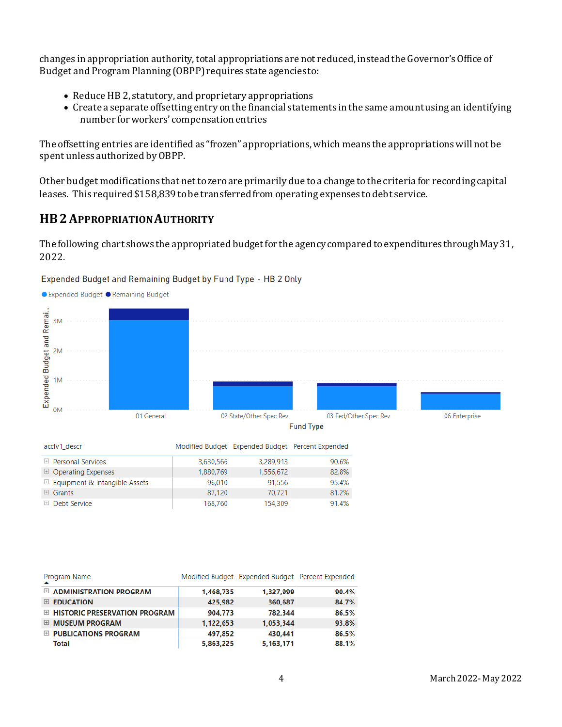changes in appropriation authority, total appropriations are not reduced, instead the Governor's Office of Budget and Program Planning (OBPP) requires state agencies to:

- Reduce HB 2, statutory, and proprietary appropriations
- Create a separate offsetting entry on the financial statements in the same amount using an identifying number for workers' compensation entries

The offsetting entries are identified as "frozen" appropriations, which means the appropriations will not be spent unless authorized by OBPP.

Other budget modifications that net to zero are primarily due to a change to the criteria for recording capital leases. This required \$158,839 to be transferred from operating expenses to debt service.

# **HB2APPROPRIATION AUTHORITY**

The following chart shows the appropriated budget for the agency compared to expenditures through May 31, 2022.



| acclv1 descr                             |           | Modified Budget Expended Budget Percent Expended |       |
|------------------------------------------|-----------|--------------------------------------------------|-------|
| $\boxplus$ Personal Services             | 3,630,566 | 3,289,913                                        | 90.6% |
| $\Box$ Operating Expenses                | 1,880,769 | 1,556,672                                        | 82.8% |
| $\boxplus$ Equipment & Intangible Assets | 96,010    | 91,556                                           | 95.4% |
| $\boxplus$ Grants                        | 87.120    | 70.721                                           | 81.2% |
| $\boxplus$ Debt Service                  | 168.760   | 154.309                                          | 91.4% |

| Program Name                           |           | Modified Budget Expended Budget Percent Expended |       |
|----------------------------------------|-----------|--------------------------------------------------|-------|
| $\boxplus$ ADMINISTRATION PROGRAM      | 1.468.735 | 1.327.999                                        | 90.4% |
| EDUCATION                              | 425,982   | 360,687                                          | 84.7% |
| <b>E HISTORIC PRESERVATION PROGRAM</b> | 904,773   | 782,344                                          | 86.5% |
| <b>E MUSEUM PROGRAM</b>                | 1,122,653 | 1,053,344                                        | 93.8% |
| E PUBLICATIONS PROGRAM                 | 497,852   | 430,441                                          | 86.5% |
| Total                                  | 5,863,225 | 5,163,171                                        | 88.1% |